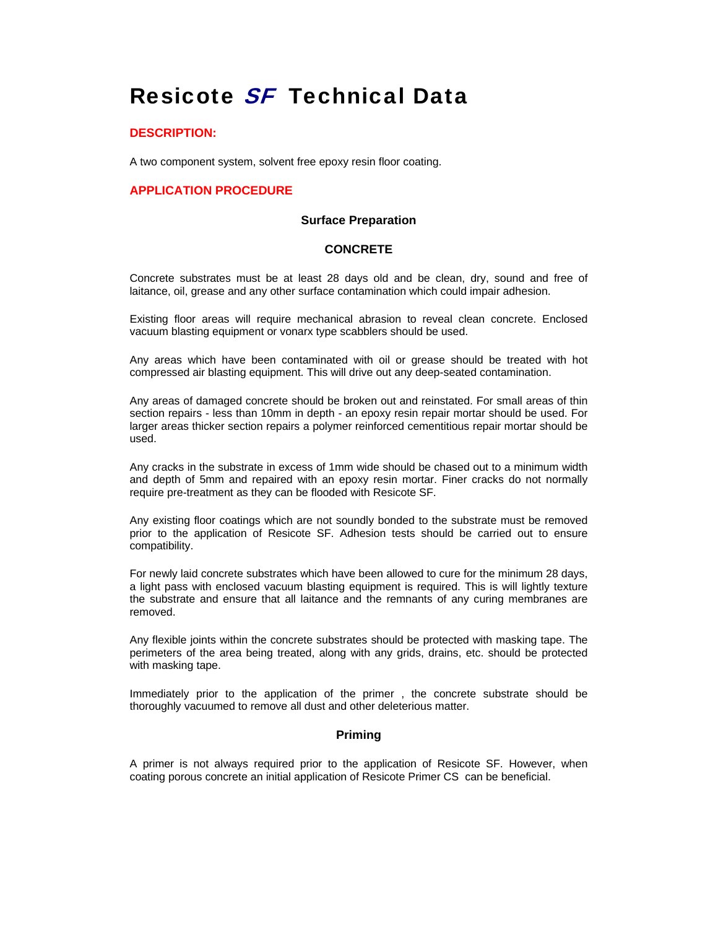# Resicote SF Technical Data

### **DESCRIPTION:**

A two component system, solvent free epoxy resin floor coating.

# **APPLICATION PROCEDURE**

#### **Surface Preparation**

#### **CONCRETE**

Concrete substrates must be at least 28 days old and be clean, dry, sound and free of laitance, oil, grease and any other surface contamination which could impair adhesion.

Existing floor areas will require mechanical abrasion to reveal clean concrete. Enclosed vacuum blasting equipment or vonarx type scabblers should be used.

Any areas which have been contaminated with oil or grease should be treated with hot compressed air blasting equipment. This will drive out any deep-seated contamination.

Any areas of damaged concrete should be broken out and reinstated. For small areas of thin section repairs - less than 10mm in depth - an epoxy resin repair mortar should be used. For larger areas thicker section repairs a polymer reinforced cementitious repair mortar should be used.

Any cracks in the substrate in excess of 1mm wide should be chased out to a minimum width and depth of 5mm and repaired with an epoxy resin mortar. Finer cracks do not normally require pre-treatment as they can be flooded with Resicote SF.

Any existing floor coatings which are not soundly bonded to the substrate must be removed prior to the application of Resicote SF. Adhesion tests should be carried out to ensure compatibility.

For newly laid concrete substrates which have been allowed to cure for the minimum 28 days, a light pass with enclosed vacuum blasting equipment is required. This is will lightly texture the substrate and ensure that all laitance and the remnants of any curing membranes are removed.

Any flexible joints within the concrete substrates should be protected with masking tape. The perimeters of the area being treated, along with any grids, drains, etc. should be protected with masking tape.

Immediately prior to the application of the primer , the concrete substrate should be thoroughly vacuumed to remove all dust and other deleterious matter.

#### **Priming**

A primer is not always required prior to the application of Resicote SF. However, when coating porous concrete an initial application of Resicote Primer CS can be beneficial.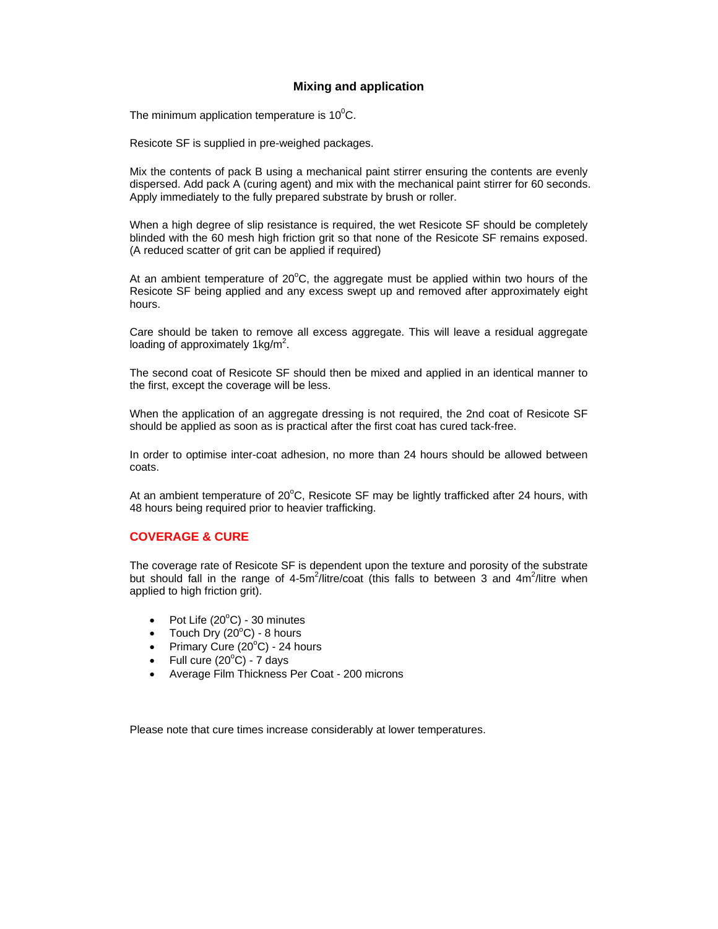## **Mixing and application**

The minimum application temperature is 10 $\rm ^{0}C.$ 

Resicote SF is supplied in pre-weighed packages.

Mix the contents of pack B using a mechanical paint stirrer ensuring the contents are evenly dispersed. Add pack A (curing agent) and mix with the mechanical paint stirrer for 60 seconds. Apply immediately to the fully prepared substrate by brush or roller.

When a high degree of slip resistance is required, the wet Resicote SF should be completely blinded with the 60 mesh high friction grit so that none of the Resicote SF remains exposed. (A reduced scatter of grit can be applied if required)

At an ambient temperature of  $20^{\circ}$ C, the aggregate must be applied within two hours of the Resicote SF being applied and any excess swept up and removed after approximately eight hours.

Care should be taken to remove all excess aggregate. This will leave a residual aggregate loading of approximately 1 $kg/m^2$ .

The second coat of Resicote SF should then be mixed and applied in an identical manner to the first, except the coverage will be less.

When the application of an aggregate dressing is not required, the 2nd coat of Resicote SF should be applied as soon as is practical after the first coat has cured tack-free.

In order to optimise inter-coat adhesion, no more than 24 hours should be allowed between coats.

At an ambient temperature of 20°C, Resicote SF may be lightly trafficked after 24 hours, with 48 hours being required prior to heavier trafficking.

#### **COVERAGE & CURE**

The coverage rate of Resicote SF is dependent upon the texture and porosity of the substrate but should fall in the range of 4-5m<sup>2</sup>/litre/coat (this falls to between 3 and 4m<sup>2</sup>/litre when applied to high friction grit).

- Pot Life  $(20^{\circ}C)$  30 minutes
- Touch Dry  $(20^{\circ}C)$  8 hours
- Primary Cure  $(20^{\circ}$ C) 24 hours
- Full cure  $(20^{\circ}C)$  7 days
- Average Film Thickness Per Coat 200 microns

Please note that cure times increase considerably at lower temperatures.